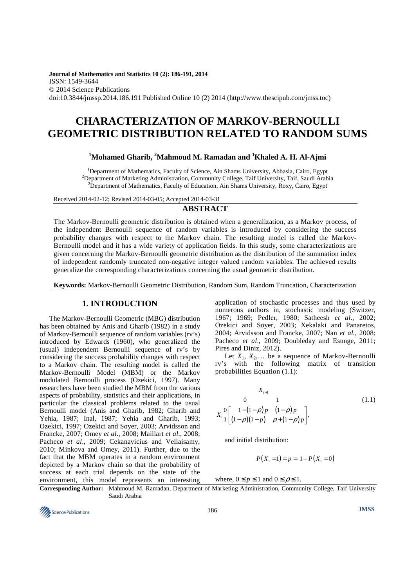**Journal of Mathematics and Statistics 10 (2): 186-191, 2014**  ISSN: 1549-3644 © 2014 Science Publications doi:10.3844/jmssp.2014.186.191 Published Online 10 (2) 2014 (http://www.thescipub.com/jmss.toc)

# **CHARACTERIZATION OF MARKOV-BERNOULLI GEOMETRIC DISTRIBUTION RELATED TO RANDOM SUMS**

# **<sup>1</sup>Mohamed Gharib, <sup>2</sup>Mahmoud M. Ramadan and <sup>1</sup>Khaled A. H. Al-Ajmi**

<sup>1</sup>Department of Mathematics, Faculty of Science, Ain Shams University, Abbasia, Cairo, Egypt <sup>2</sup>Department of Marketing Administration, Community College, Taif University, Taif, Saudi Arabia <sup>2</sup>Department of Mathematics, Faculty of Education, Ain Shams University, Roxy, Cairo, Egypt

Received 2014-02-12; Revised 2014-03-05; Accepted 2014-03-31

## **ABSTRACT**

The Markov-Bernoulli geometric distribution is obtained when a generalization, as a Markov process, of the independent Bernoulli sequence of random variables is introduced by considering the success probability changes with respect to the Markov chain. The resulting model is called the Markov-Bernoulli model and it has a wide variety of application fields. In this study, some characterizations are given concerning the Markov-Bernoulli geometric distribution as the distribution of the summation index of independent randomly truncated non-negative integer valued random variables. The achieved results generalize the corresponding characterizations concerning the usual geometric distribution.

**Keywords:** Markov-Bernoulli Geometric Distribution, Random Sum, Random Truncation, Characterization

# **1. INTRODUCTION**

The Markov-Bernoulli Geometric (MBG) distribution has been obtained by Anis and Gharib (1982) in a study of Markov-Bernoulli sequence of random variables (rv's) introduced by Edwards (1960), who generalized the (usual) independent Bernoulli sequence of rv's by considering the success probability changes with respect to a Markov chain. The resulting model is called the Markov-Bernoulli Model (MBM) or the Markov modulated Bernoulli process (Ozekici, 1997). Many researchers have been studied the MBM from the various aspects of probability, statistics and their applications, in particular the classical problems related to the usual Bernoulli model (Anis and Gharib, 1982; Gharib and Yehia, 1987; Inal, 1987; Yehia and Gharib, 1993; Ozekici, 1997; Ozekici and Soyer, 2003; Arvidsson and Francke, 2007; Omey *et al*., 2008; Maillart *et al*., 2008; Pacheco *et al*., 2009; Cekanavicius and Vellaisamy, 2010; Minkova and Omey, 2011). Further, due to the fact that the MBM operates in a random environment depicted by a Markov chain so that the probability of success at each trial depends on the state of the environment, this model represents an interesting application of stochastic processes and thus used by numerous authors in, stochastic modeling (Switzer, 1967; 1969; Pedler, 1980; Satheesh *et al*., 2002; Özekici and Soyer, 2003; Xekalaki and Panaretos, 2004; Arvidsson and Francke, 2007; Nan *et al.*, 2008; Pacheco *et al*., 2009; Doubleday and Esunge, 2011; Pires and Diniz, 2012).

Let  $X_1, X_2,...$  be a sequence of Markov-Bernoulli rv's with the following matrix of transition probabilities Equation (1.1):

$$
X_{i+1} \n0 \n1 \n(1.1)
$$
\n
$$
X_{i} \n0 \n1 \n(1.1)
$$
\n
$$
X_{i} \n1 \n(1 - \rho) \n(1 - \rho) \n\rho \n(1 - \rho) \n\rho \n+ (1 - \rho) \n\rho \n\tag{1.1}
$$

and initial distribution:

$$
P(X_1 = 1) = p = 1 - P(X_1 = 0)
$$

where,  $0 \le p \le 1$  and  $0 \le p \le 1$ .

**Corresponding Author:** Mahmoud M. Ramadan, Department of Marketing Administration, Community College, Taif University Saudi Arabia

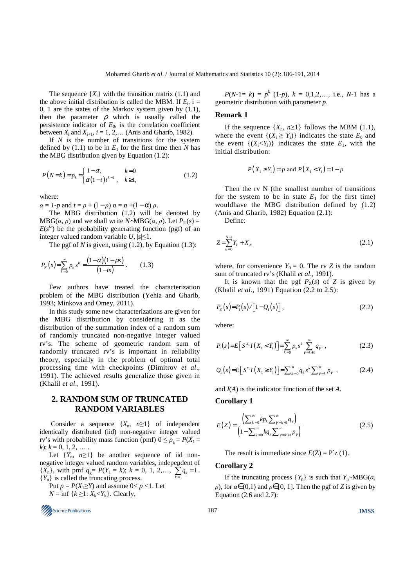The sequence  $\{X_i\}$  with the transition matrix (1.1) and the above initial distribution is called the MBM. If  $E_i$ , i = 0, 1 are the states of the Markov system given by (1.1), then the parameter  $\rho$  which is usually called the persistence indicator of  $E_0$ , is the correlation coefficient between  $X_i$  and  $X_{i+1}$ ,  $i = 1, 2, ...$  (Anis and Gharib, 1982).

If *N* is the number of transitions for the system defined by  $(1.1)$  to be in  $E_1$  for the first time then *N* has the MBG distribution given by Equation (1.2):

$$
P(N=k) = p_k = \begin{cases} 1 - \alpha, & k = 0 \\ \alpha (1 - t) t^{k-1}, & k \ge 1, \end{cases}
$$
 (1.2)

where:

 $\alpha = 1-p$  and  $t = \rho + (1-\rho) \alpha = \alpha + (1-\alpha) \rho$ .

The MBG distribution (1.2) will be denoted by MBG(*α*, *ρ*) and we shall write *N*∼MBG(*α*, *ρ*). Let  $P_U(s) =$  $E(s^U)$  be the probability generating function (pgf) of an integer valued random variable  $U$ ,  $|s| \leq 1$ .

The pgf of *N* is given, using (1.2), by Equation (1.3):

$$
P_N(s) = \sum_{k=0}^{\infty} p_k s^k = \frac{(1-\alpha)(1-\beta s)}{(1-ts)}.
$$
 (1.3)

Few authors have treated the characterization problem of the MBG distribution (Yehia and Gharib, 1993; Minkova and Omey, 2011).

In this study some new characterizations are given for the MBG distribution by considering it as the distribution of the summation index of a random sum of randomly truncated non-negative integer valued rv's. The scheme of geometric random sum of randomly truncated rv's is important in reliability theory, especially in the problem of optimal total processing time with checkpoints (Dimitrov *et al*., 1991). The achieved results generalize those given in (Khalil *et al*., 1991).

# **2. RANDOM SUM OF TRUNCATED RANDOM VARIABLES**

Consider a sequence  $\{X_n, n \geq 1\}$  of independent identically distributed (iid) non-negative integer valued rv's with probability mass function (pmf)  $0 \le p_k = P(X_1 =$  $k$ ;  $k = 0, 1, 2, \ldots$ 

Let  ${Y_n, n \geq 1}$  be another sequence of iid nonnegative integer valued random variables, independent of {*X<sub>n</sub>*}, with pmf  $q_k = P(Y_1 = k)$ ;  $k = 0, 1, 2,...$ ,  $\sum_{k=0}^{k} q_k = 1$ .  ${Y_n}$  is called the truncating process.

Put  $p = P(X_1 \geq Y)$  and assume  $0 < p < 1$ . Let

 $N = \inf \{k \geq 1: X_k < Y_k\}$ . Clearly,



 $P(N-1=k) = p^k (1-p)$ ,  $k = 0,1,2,...$ , i.e.,  $N-1$  has a geometric distribution with parameter *p*.

#### **Remark 1**

If the sequence  $\{X_n, n \geq 1\}$  follows the MBM (1.1), where the event  $\{(X_i \geq Y_i)\}\$  indicates the state  $E_0$  and the event  $\{(X_i < Y_i)\}\$  indicates the state  $E_1$ , with the initial distribution:

$$
P(X_1 \ge Y_1) = p
$$
 and  $P(X_1 < Y_1) = 1 - p$ 

Then the rv N (the smallest number of transitions for the system to be in state  $E_1$  for the first time) wouldhave the MBG distribution defined by (1.2) (Anis and Gharib, 1982) Equation (2.1):

Define:

$$
Z = \sum_{k=0}^{N-1} Y_k + X_N \tag{2.1}
$$

where, for convenience  $Y_0 = 0$ . The rv *Z* is the random sum of truncated rv's (Khalil *et al*., 1991).

It is known that the pgf  $P_Z(s)$  of *Z* is given by (Khalil *et al*., 1991) Equation (2.2 to 2.5):

$$
P_{z}(s) = P_{1}(s) / [1 - Q_{1}(s)], \qquad (2.2)
$$

where:

$$
P_1(s) = E\Big[S^{X_1}I(X_1 < Y_1)\Big] = \sum_{k=0}^{\infty} p_k s^k \sum_{\gamma=k+1}^{\infty} q_{\gamma} \tag{2.3}
$$

$$
Q_1(s) = E\Big[S^{Y_1}I(X_1 \geq Y_1)\Big] = \sum_{k=0}^{\infty} q_k s^k \sum_{\gamma=k}^{\infty} p_{\gamma} , \qquad (2.4)
$$

and *I*(*A*) is the indicator function of the set *A*.

#### **Corollary 1**

$$
E(Z) = \frac{\left(\sum_{k=0}^{\infty} k p_k \sum_{\gamma=k+1}^{\infty} q_{\gamma}\right)}{\left(1 - \sum_{k=0}^{\infty} k q_k \sum_{\gamma=k+1}^{\infty} p_{\gamma}\right)}
$$
(2.5)

The result is immediate since  $E(Z) = P'z(1)$ .

### **Corollary 2**

If the truncating process  ${Y_n}$  is such that  $Y_n \sim MBG(\alpha,$  $ρ$ ), for  $α∈(0,1)$  and  $ρ∈[0, 1]$ . Then the pgf of *Z* is given by Equation (2.6 and 2.7):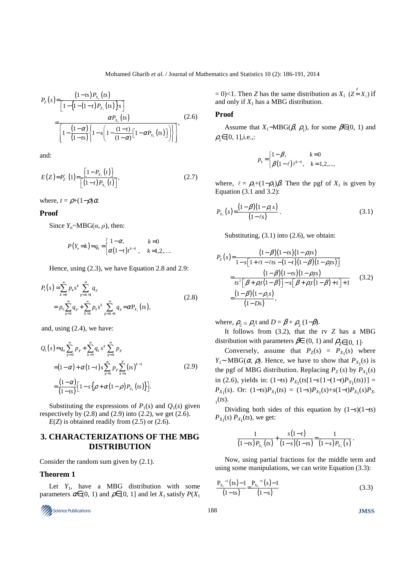$$
P_{z}(s) = \frac{(1-ts)P_{x_{1}}(ts)}{[1 - \{1 - (1-t)P_{x_{1}}(ts)\}s]}
$$
  
= 
$$
\frac{\alpha P_{x_{1}}(ts)}{[1 - \frac{(1-\alpha)}{(1-ts)}\{1 - s\left(1 - \frac{(1-t)}{(1-\alpha)}[1 - \alpha P_{x_{1}}(ts)]\}\}]}.
$$
(2.6)

and:

$$
E(Z) = P'_Z(1) = \frac{\left[1 - P_{X_1}(t)\right]}{\left[\left(1 - t\right)P_{X_1}(t)\right]},\tag{2.7}
$$

where,  $t = \rho + (1-\rho)\alpha$ .

#### **Proof**

Since  $Y_n \sim MBG(\alpha, \rho)$ , then:

$$
P(Y_n = k) = q_k = \begin{cases} 1 - \alpha, & k = 0 \\ \alpha(1 - t) t^{k-1}, & k = 1, 2, \dots \end{cases}
$$

Hence, using (2.3), we have Equation 2.8 and 2.9:

$$
P_1(s) = \sum_{k=0}^{\infty} p_k s^k \sum_{\gamma=k+1}^{\infty} q_{\gamma}
$$
  
=  $p_0 \sum_{\gamma=1}^{\infty} q_{\gamma} + \sum_{k=1}^{\infty} p_k s^k \sum_{\gamma=k+1}^{\infty} q_{\gamma} = \alpha P_{X_1}(ts),$  (2.8)

and, using (2.4), we have:

$$
Q_{1}(s) = q_{0} \sum_{\gamma=0}^{\infty} p_{\gamma} + \sum_{k=1}^{\infty} q_{k} s^{k} \sum_{\gamma=k}^{\infty} p_{\gamma}
$$
  
=  $(1 - \alpha) + \alpha (1 - t) s \sum_{\gamma=1}^{\infty} p_{\gamma} \sum_{k=1}^{\gamma} (ts)^{k-1}$   
=  $\frac{(1 - \alpha)}{(1 - ts)} [1 - s \{ \rho + \alpha (1 - \rho) P_{x_{1}}(ts) \}].$  (2.9)

Substituting the expressions of  $P_1(s)$  and  $Q_1(s)$  given respectively by  $(2.8)$  and  $(2.9)$  into  $(2.2)$ , we get  $(2.6)$ .  $E(Z)$  is obtained readily from  $(2.5)$  or  $(2.6)$ .

# **3. CHARACTERIZATIONS OF THE MBG DISTRIBUTION**

Consider the random sum given by (2.1).

## **Theorem 1**

Let  $Y_1$ , have a MBG distribution with some parameters  $\alpha \in (0, 1)$  and  $\rho \in [0, 1]$  and let  $X_1$  satisfy  $P(X_1)$ 



 $= 0$  $< 1$ . Then *Z* has the same distribution as  $X_1$  ( $Z = X_1$ ) if and only if  $X_1$  has a MBG distribution.

## **Proof**

Assume that  $X_1$ ∼MBG( $\beta$ ,  $\rho_1$ ), for some  $\beta \in (0, 1)$  and  $\rho \in [0, 1]$ , *i.e.*,:

$$
p_k = \begin{cases} 1 - \beta, & k = 0 \\ \beta(1 - \ell) \ell^{k-1}, & k = 1, 2, ..., \end{cases}
$$

where,  $\ell = \rho_1 + (1-\rho_1)\beta$ . Then the pgf of  $X_1$  is given by Equation (3.1 and 3.2):

$$
P_{X_1}(s) = \frac{(1-\beta)(1-\rho_1 s)}{(1-\ell s)}.
$$
\n(3.1)

Substituting, (3.1) into (2.6), we obtain:

$$
P_z(s) = \frac{(1-\beta)(1-ts)(1-\rho_1 ts)}{1-s[1+t t - t ts - (1-t)(1-\beta)(1-\rho_1 ts)]}
$$
  
= 
$$
\frac{(1-\beta)(1-ts)(1-\rho_1 ts)}{ts^2[\beta+\rho_1 t(1-\beta)]-s[\beta+\rho_1 t(1-\beta)+t]+1}
$$
(3.2)  
= 
$$
\frac{(1-\beta)(1-\rho_2 s)}{(1-\beta s)},
$$

where,  $\rho_2 = \rho_1 t$  and  $D = \beta + \rho_2 (1-\beta)$ .

It follows from (3.2), that the rv *Z* has a MBG distribution with parameters  $\beta \in (0, 1)$  and  $\rho_2 \in [0, 1]$ .

Conversely, assume that  $P_Z(s) = P_{X_1}(s)$  where *Y*<sub>1</sub>∼ MBG( $\alpha$ ,  $\rho$ ). Hence, we have to show that  $P_{X_1}(s)$  is the pgf of MBG distribution. Replacing  $P_Z(s)$  by  $P_{X_1}(s)$  $\text{in } (2.6)$ , yields in:  $(1-ts) P_{X_1}(t s[1-s{1-(1-t)P_{X_1}(t s)}]$  =  $P_{X_1}(s)$ . Or:  $(1-ts)P_{X_1}(ts) = (1-s)P_{X_1}(s) + s(1-t)P_{X_1}(s)P_{X_1}(s)$  $_1(ts).$ 

Dividing both sides of this equation by (1−*s*)(1−*ts*)  $P_{X_1}(s)$   $P_{X_1}(ts)$ , we get:

$$
\frac{1}{(1-ts)P_{X_1}(ts)}+\frac{s(1-t)}{(1-s)(1-ts)}=\frac{1}{(1-s)P_{X_1}(s)}.
$$

Now, using partial fractions for the middle term and using some manipulations, we can write Equation (3.3):

$$
\frac{P_{X_i}^{-1}(ts) - 1}{(1 - ts)} = \frac{P_{X_i}^{-1}(s) - 1}{(1 - s)}
$$
(3.3)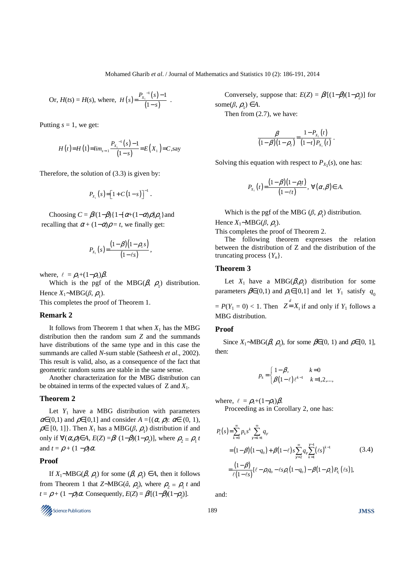Mohamed Gharib *et al*. / Journal of Mathematics and Statistics 10 (2): 186-191, 2014

Or, 
$$
H(ts) = H(s)
$$
, where,  $H(s) = \frac{P_{x_1}^{-1}(s) - 1}{(1 - s)}$ .

Putting  $s = 1$ , we get:

$$
H(t)=H(1)=\lim_{s\to 1}\frac{P_{X_1}^{-1}(s)-1}{(1-s)}=E(X_1)=C,\text{say}
$$

Therefore, the solution of (3.3) is given by:

$$
P_{X_1}(s) = [1 + C(1 - s)]^{-1}.
$$

Choosing  $C = \beta/(1-\beta)\{1 - [\alpha+(1-\alpha)\rho]\rho_1\}$  and recalling that  $\alpha + (1-\alpha)\rho = t$ , we finally get:

$$
P_{X_1}(s) = \frac{(1-\beta)(1-\rho_1 s)}{(1-\ell s)},
$$

where,  $\ell = \rho_1 + (1-\rho_1)\beta$ .

Which is the pgf of the MBG( $\beta$ ,  $\rho$ <sub>1</sub>) distribution. Hence  $X_1 \sim MBG(\beta, \rho_1)$ .

This completes the proof of Theorem 1.

#### **Remark 2**

It follows from Theorem 1 that when  $X_1$  has the MBG distribution then the random sum *Z* and the summands have distributions of the same type and in this case the summands are called *N*-sum stable (Satheesh *et al*., 2002). This result is valid, also, as a consequence of the fact that geometric random sums are stable in the same sense.

Another characterization for the MBG distribution can be obtained in terms of the expected values ofZ and *X*1.

#### **Theorem 2**

Let  $Y_1$  have a MBG distribution with parameters  $\alpha \in (0,1)$  and  $\rho \in [0,1]$  and consider  $A = \{(\alpha, \rho): \alpha \in (0, 1),\}$  $\rho \in [0, 1]$ . Then  $X_1$  has a MBG( $\beta$ ,  $\rho_1$ ) distribution if and only if  $\forall (\alpha, \rho) \in A$ ,  $E(Z) = \beta \mid (1 - \beta)(1 - \rho_2)$ , where  $\rho_2 = \rho_1 t$ and  $t = \rho + (1 - \rho)\alpha$ .

### **Proof**

If  $X_1 \sim MBG(\beta, \rho_1)$  for some  $(\beta, \rho_1) \in A$ , then it follows from Theorem 1 that *Z*∼MBG( $\hat{a}$ ,  $\rho$ <sub>2</sub>), where  $\rho$ <sub>2</sub> =  $\rho$ <sub>1</sub> *t* and  $t = \rho + (1 - \rho)\alpha$ . Consequently,  $E(Z) = \beta/[(1 - \beta)(1 - \rho_2)].$ 



Conversely, suppose that:  $E(Z) = \beta/[(1-\beta)(1-\rho_2)]$  for some $(\beta, \rho_1) \in A$ .

Then from (2.7), we have:

$$
\frac{\beta}{(1-\beta)(1-\rho_2)} = \frac{1-P_{X_1}(t)}{(1-t)P_{X_1}(t)}.
$$

Solving this equation with respect to  $P_{X_1}(s)$ , one has:

$$
P_{X_1}(t) = \frac{(1-\beta)(1-\rho_1t)}{(1-\ell t)}, \ \forall (\alpha,\beta) \in A.
$$

Which is the pgf of the MBG  $(\beta, \rho_1)$  distribution. Hence  $X_1 \sim MBG(\beta, \rho_1)$ .

This completes the proof of Theorem 2.

The following theorem expresses the relation between the distribution of Z and the distribution of the truncating process {*Y*n}.

## **Theorem 3**

Let  $X_1$  have a MBG( $\beta$ , $\rho$ <sub>1</sub>) distribution for some parameters  $\beta \in (0,1)$  and  $\rho_1 \in [0,1]$  and let  $Y_1$  satisfy  $q_0$  $= P(Y_1 = 0) < 1$ . Then  $Z = X_1$  if and only if  $Y_1$  follows a MBG distribution.

## **Proof**

Since *X*<sub>1</sub>∼MBG( $\beta$ ,  $\rho$ <sub>1</sub>), for some  $\beta \in (0, 1)$  and  $\rho \in [0, 1]$ , then:

$$
p_k = \begin{cases} 1 - \beta, & k = 0 \\ \beta(1 - \ell) \ell^{k-1} & k = 1, 2, ..., \end{cases}
$$

where,  $\ell = \rho_1 + (1-\rho_1)\beta$ .

Proceeding as in Corollary 2, one has:

$$
P_1(s) = \sum_{k=0}^{\infty} p_k s^k \sum_{\gamma=k+1}^{\infty} q_{\gamma}
$$
  
=  $(1-\beta)(1-q_0) + \beta(1-\ell)s \sum_{\gamma=2}^{\infty} q_{\gamma} \sum_{k=1}^{\gamma-1} (\ell s)^{k-1}$  (3.4)  
=  $\frac{(1-\beta)}{\ell(1-\ell s)} [\ell - \rho_1 q_0 - \ell s \rho_1 (1-q_0) - \beta (1-\rho_1) P_{Y_1} (\ell s)],$ 

and: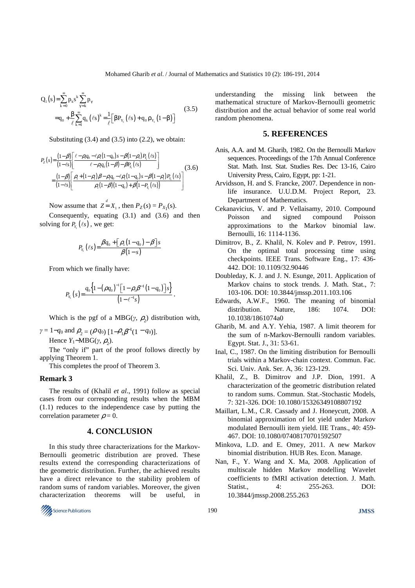$$
Q_{1}(s) = \sum_{k=0}^{\infty} p_{k} s^{k} \sum_{\gamma=k}^{\infty} p_{\gamma}
$$
  
=  $q_{0} + \frac{\beta}{\ell} \sum_{k=1}^{\infty} q_{k} (\ell s)^{k} = \frac{1}{\ell} [\beta P_{Y_{i}} (\ell s) + q_{0} \rho_{Y_{i}} (1-\beta)]$  (3.5)

Substituting  $(3.4)$  and  $(3.5)$  into  $(2.2)$ , we obtain:

$$
P_{Z}(s) = \frac{(1-\beta)}{(1-\ell s)} \left[ \frac{\ell - \rho_{q_0} - \ell \rho_{1}(1-q_0) s - \beta(1-\rho_{1}) P_{Y_1}(\ell s)}{\ell - \rho_{1} q_{0}(1-\beta) - \beta P_{Y_1}(\ell s)} \right]
$$
  
= 
$$
\frac{(1-\beta)}{(1-\ell s)} \left[ \frac{\rho_{1} + (1-\rho_{1}) \beta - \rho_{1} q_{0} - \ell \rho_{1}(1-q_0) s - \beta(1-\rho_{1}) P_{Y_1}(\ell s)}{\rho_{1}(1-\beta)(1-q_0) + \beta(1-P_{Y_1}(\ell s))} \right]
$$
(3.6)

Now assume that  $Z = X_1$ , then  $P_Z(s) = P_{X_1}(s)$ .

Consequently, equating (3.1) and (3.6) and then solving for  $P_{Y_1}(\ell s)$ , we get:

$$
P_{Y_1}(\ell s) = \frac{\beta q_0 + [\rho_1(1-q_0) - \beta]s}{\beta(1-s)}
$$

From which we finally have:

$$
P_{Y_1}(s) = \frac{q_0\left\{1-(\rho q_0)^{-1}\left[1-\rho_1\beta^{-1}(1-q_0)\right]s\right\}}{(1-\ell^{-1}s)}.
$$

Which is the pgf of a MBG( $\gamma$ ,  $\rho$ <sub>2</sub>) distribution with,

.

 $\gamma = 1 - q_0$  and  $\rho_2 = (\rho q_0) [1 - \rho_1 \beta^{-1} (1 - q_0)].$ Hence *Y*<sub>1</sub>∼MBG(*γ*,  $ρ_2$ ).

The "only if" part of the proof follows directly by applying Theorem 1.

This completes the proof of Theorem 3.

## **Remark 3**

The results of (Khalil *et al*., 1991) follow as special cases from our corresponding results when the MBM (1.1) reduces to the independence case by putting the correlation parameter  $\rho = 0$ .

## **4. CONCLUSION**

In this study three characterizations for the Markov-Bernoulli geometric distribution are proved. These results extend the corresponding characterizations of the geometric distribution. Further, the achieved results have a direct relevance to the stability problem of random sums of random variables. Moreover, the given characterization theorems will be useful, in



understanding the missing link between the mathematical structure of Markov-Bernoulli geometric distribution and the actual behavior of some real world random phenomena.

# **5. REFERENCES**

- Anis, A.A. and M. Gharib, 1982. On the Bernoulli Markov sequences. Proceedings of the 17th Annual Conference Stat. Math. Inst. Stat. Studies Res. Dec 13-16, Cairo University Press, Cairo, Egypt, pp: 1-21.
- Arvidsson, H. and S. Francke, 2007. Dependence in nonlife insurance. U.U.D.M. Project Report, 23. Department of Mathematics.
- Cekanavicius, V. and P. Vellaisamy, 2010. Compound Poisson and signed compound Poisson approximations to the Markov binomial law. Bernoulli, 16: 1114-1136.
- Dimitrov, B., Z. Khalil, N. Kolev and P. Petrov, 1991. On the optimal total processing time using checkpoints. IEEE Trans. Software Eng., 17: 436- 442. DOI: 10.1109/32.90446
- Doubleday, K. J. and J. N. Esunge, 2011. Application of Markov chains to stock trends. J. Math. Stat., 7: 103-106. DOI: 10.3844/jmssp.2011.103.106
- Edwards, A.W.F., 1960. The meaning of binomial distribution. Nature, 186: 1074. DOI: 10.1038/1861074a0
- Gharib, M. and A.Y. Yehia, 1987. A limit theorem for the sum of n-Markov-Bernoulli random variables. Egypt. Stat. J., 31: 53-61.
- Inal, C., 1987. On the limiting distribution for Bernoulli trials within a Markov-chain context. Commun. Fac. Sci. Univ. Ank. Ser. A, 36: 123-129.
- Khalil, Z., B. Dimitrov and J.P. Dion, 1991. A characterization of the geometric distribution related to random sums. Commun. Stat.-Stochastic Models, 7: 321-326. DOI: 10.1080/15326349108807192
- Maillart, L.M., C.R. Cassady and J. Honeycutt, 2008. A binomial approximation of lot yield under Markov modulated Bernoulli item yield. IIE Trans., 40: 459- 467. DOI: 10.1080/07408170701592507
- Minkova, L.D. and E. Omey, 2011. A new Markov binomial distribution. HUB Res. Econ. Manage.
- Nan, F., Y. Wang and X. Ma, 2008. Application of multiscale hidden Markov modelling Wavelet coefficients to fMRI activation detection. J. Math. Statist.. 4: 255-263. DOI: 10.3844/jmssp.2008.255.263